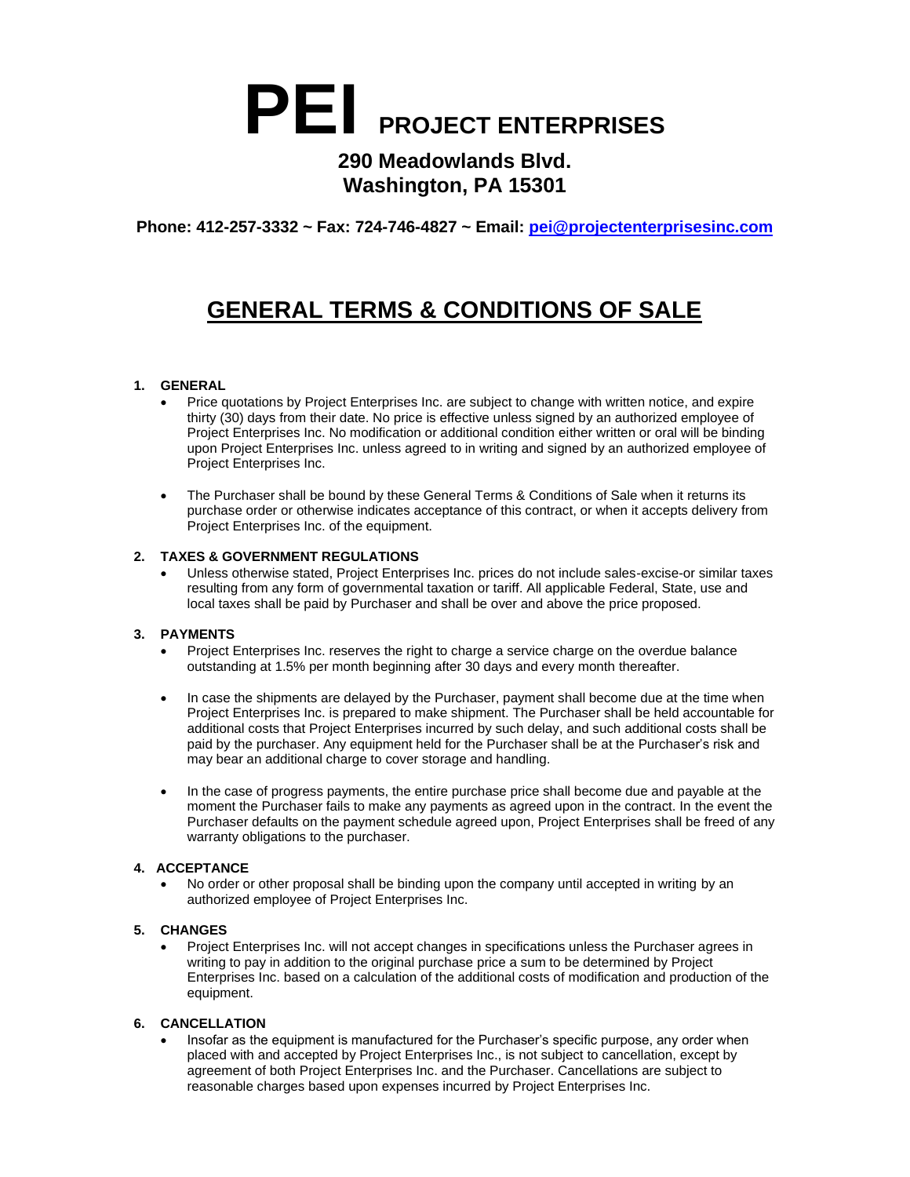# **PEI PROJECT ENTERPRISES**

### **290 Meadowlands Blvd. Washington, PA 15301**

**Phone: 412-257-3332 ~ Fax: 724-746-4827 ~ Email: [pei@projectenterprisesinc.com](mailto:pei@projectenterprisesinc.com)**

## **GENERAL TERMS & CONDITIONS OF SALE**

#### **1. GENERAL**

- Price quotations by Project Enterprises Inc. are subject to change with written notice, and expire thirty (30) days from their date. No price is effective unless signed by an authorized employee of Project Enterprises Inc. No modification or additional condition either written or oral will be binding upon Project Enterprises Inc. unless agreed to in writing and signed by an authorized employee of Project Enterprises Inc.
- The Purchaser shall be bound by these General Terms & Conditions of Sale when it returns its purchase order or otherwise indicates acceptance of this contract, or when it accepts delivery from Project Enterprises Inc. of the equipment.

#### **2. TAXES & GOVERNMENT REGULATIONS**

• Unless otherwise stated, Project Enterprises Inc. prices do not include sales-excise-or similar taxes resulting from any form of governmental taxation or tariff. All applicable Federal, State, use and local taxes shall be paid by Purchaser and shall be over and above the price proposed.

#### **3. PAYMENTS**

- Project Enterprises Inc. reserves the right to charge a service charge on the overdue balance outstanding at 1.5% per month beginning after 30 days and every month thereafter.
- In case the shipments are delayed by the Purchaser, payment shall become due at the time when Project Enterprises Inc. is prepared to make shipment. The Purchaser shall be held accountable for additional costs that Project Enterprises incurred by such delay, and such additional costs shall be paid by the purchaser. Any equipment held for the Purchaser shall be at the Purchaser's risk and may bear an additional charge to cover storage and handling.
- In the case of progress payments, the entire purchase price shall become due and payable at the moment the Purchaser fails to make any payments as agreed upon in the contract. In the event the Purchaser defaults on the payment schedule agreed upon, Project Enterprises shall be freed of any warranty obligations to the purchaser.

#### **4. ACCEPTANCE**

• No order or other proposal shall be binding upon the company until accepted in writing by an authorized employee of Project Enterprises Inc.

#### **5. CHANGES**

• Project Enterprises Inc. will not accept changes in specifications unless the Purchaser agrees in writing to pay in addition to the original purchase price a sum to be determined by Project Enterprises Inc. based on a calculation of the additional costs of modification and production of the equipment.

#### **6. CANCELLATION**

• Insofar as the equipment is manufactured for the Purchaser's specific purpose, any order when placed with and accepted by Project Enterprises Inc., is not subject to cancellation, except by agreement of both Project Enterprises Inc. and the Purchaser. Cancellations are subject to reasonable charges based upon expenses incurred by Project Enterprises Inc.